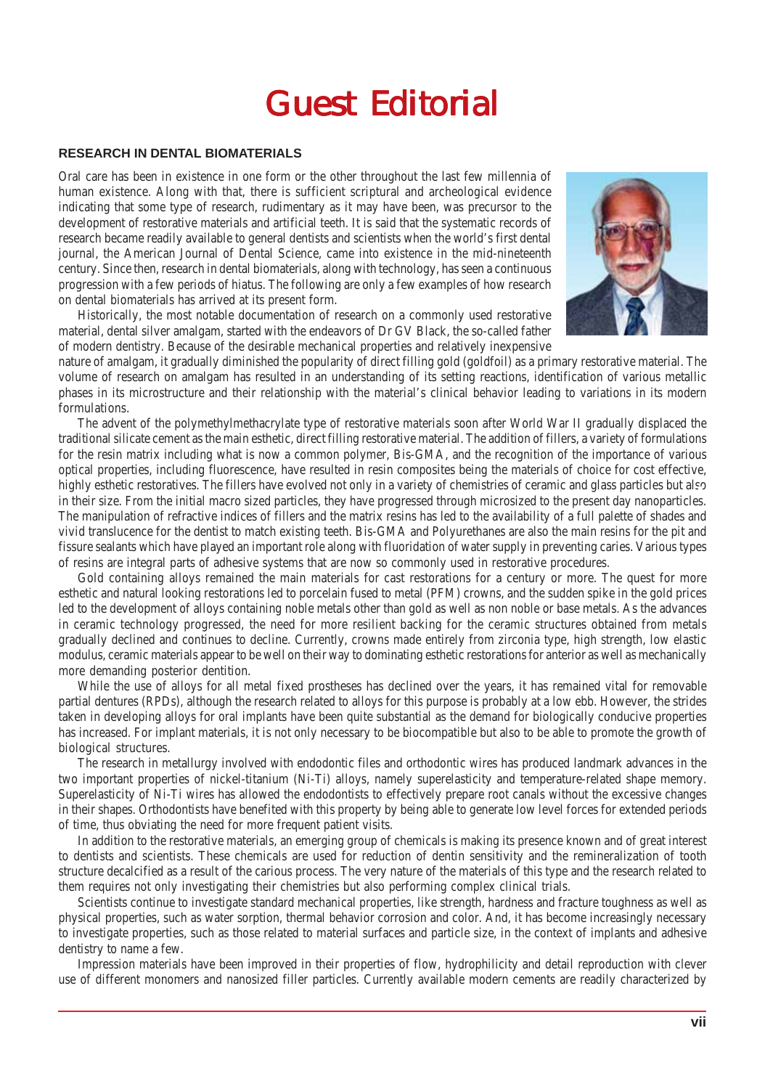## **Guest Editorial**

## **RESEARCH IN DENTAL BIOMATERIALS**

Oral care has been in existence in one form or the other throughout the last few millennia of human existence. Along with that, there is sufficient scriptural and archeological evidence indicating that some type of research, rudimentary as it may have been, was precursor to the development of restorative materials and artificial teeth. It is said that the systematic records of research became readily available to general dentists and scientists when the world's first dental journal, the American Journal of Dental Science, came into existence in the mid-nineteenth century. Since then, research in dental biomaterials, along with technology, has seen a continuous progression with a few periods of hiatus. The following are only a few examples of how research on dental biomaterials has arrived at its present form.

Historically, the most notable documentation of research on a commonly used restorative material, dental silver amalgam, started with the endeavors of Dr GV Black, the so-called father of modern dentistry. Because of the desirable mechanical properties and relatively inexpensive



nature of amalgam, it gradually diminished the popularity of direct filling gold (goldfoil) as a primary restorative material. The volume of research on amalgam has resulted in an understanding of its setting reactions, identification of various metallic phases in its microstructure and their relationship with the material's clinical behavior leading to variations in its modern formulations.

The advent of the polymethylmethacrylate type of restorative materials soon after World War II gradually displaced the traditional silicate cement as the main esthetic, direct filling restorative material. The addition of fillers, a variety of formulations for the resin matrix including what is now a common polymer, Bis-GMA, and the recognition of the importance of various optical properties, including fluorescence, have resulted in resin composites being the materials of choice for cost effective, highly esthetic restoratives. The fillers have evolved not only in a variety of chemistries of ceramic and glass particles but also in their size. From the initial macro sized particles, they have progressed through microsized to the present day nanoparticles. The manipulation of refractive indices of fillers and the matrix resins has led to the availability of a full palette of shades and vivid translucence for the dentist to match existing teeth. Bis-GMA and Polyurethanes are also the main resins for the pit and fissure sealants which have played an important role along with fluoridation of water supply in preventing caries. Various types of resins are integral parts of adhesive systems that are now so commonly used in restorative procedures.

Gold containing alloys remained the main materials for cast restorations for a century or more. The quest for more esthetic and natural looking restorations led to porcelain fused to metal (PFM) crowns, and the sudden spike in the gold prices led to the development of alloys containing noble metals other than gold as well as non noble or base metals. As the advances in ceramic technology progressed, the need for more resilient backing for the ceramic structures obtained from metals gradually declined and continues to decline. Currently, crowns made entirely from zirconia type, high strength, low elastic modulus, ceramic materials appear to be well on their way to dominating esthetic restorations for anterior as well as mechanically more demanding posterior dentition.

While the use of alloys for all metal fixed prostheses has declined over the years, it has remained vital for removable partial dentures (RPDs), although the research related to alloys for this purpose is probably at a low ebb. However, the strides taken in developing alloys for oral implants have been quite substantial as the demand for biologically conducive properties has increased. For implant materials, it is not only necessary to be biocompatible but also to be able to promote the growth of biological structures.

The research in metallurgy involved with endodontic files and orthodontic wires has produced landmark advances in the two important properties of nickel-titanium (Ni-Ti) alloys, namely superelasticity and temperature-related shape memory. Superelasticity of Ni-Ti wires has allowed the endodontists to effectively prepare root canals without the excessive changes in their shapes. Orthodontists have benefited with this property by being able to generate low level forces for extended periods of time, thus obviating the need for more frequent patient visits.

In addition to the restorative materials, an emerging group of chemicals is making its presence known and of great interest to dentists and scientists. These chemicals are used for reduction of dentin sensitivity and the remineralization of tooth structure decalcified as a result of the carious process. The very nature of the materials of this type and the research related to them requires not only investigating their chemistries but also performing complex clinical trials.

Scientists continue to investigate standard mechanical properties, like strength, hardness and fracture toughness as well as physical properties, such as water sorption, thermal behavior corrosion and color. And, it has become increasingly necessary to investigate properties, such as those related to material surfaces and particle size, in the context of implants and adhesive dentistry to name a few.

Impression materials have been improved in their properties of flow, hydrophilicity and detail reproduction with clever use of different monomers and nanosized filler particles. Currently available modern cements are readily characterized by